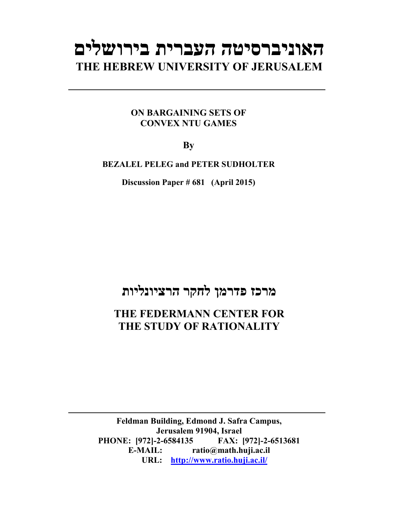# **האוניברסיטה העברית בירושלים THE HEBREW UNIVERSITY OF JERUSALEM**

## **ON BARGAINING SETS OF CONVEX NTU GAMES**

**By** 

**BEZALEL PELEG and PETER SUDHOLTER** 

**Discussion Paper # 681 (April 2015)**

## **מרכז פדרמן לחקר הרציונליות**

## **THE FEDERMANN CENTER FOR THE STUDY OF RATIONALITY**

**Feldman Building, Edmond J. Safra Campus, Jerusalem 91904, Israel PHONE: [972]-2-6584135 FAX: [972]-2-6513681 E-MAIL: ratio@math.huji.ac.il URL: http://www.ratio.huji.ac.il/**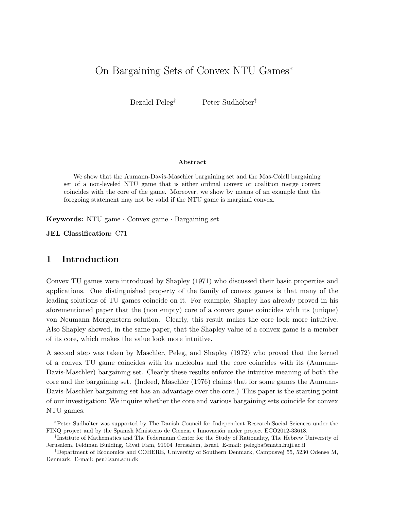### On Bargaining Sets of Convex NTU Games<sup>∗</sup>

Bezalel Peleg<sup>†</sup> Peter Sudhölter<sup>‡</sup>

#### Abstract

We show that the Aumann-Davis-Maschler bargaining set and the Mas-Colell bargaining set of a non-leveled NTU game that is either ordinal convex or coalition merge convex coincides with the core of the game. Moreover, we show by means of an example that the foregoing statement may not be valid if the NTU game is marginal convex.

Keywords: NTU game · Convex game · Bargaining set

JEL Classification: C71

#### 1 Introduction

Convex TU games were introduced by Shapley (1971) who discussed their basic properties and applications. One distinguished property of the family of convex games is that many of the leading solutions of TU games coincide on it. For example, Shapley has already proved in his aforementioned paper that the (non empty) core of a convex game coincides with its (unique) von Neumann Morgenstern solution. Clearly, this result makes the core look more intuitive. Also Shapley showed, in the same paper, that the Shapley value of a convex game is a member of its core, which makes the value look more intuitive.

A second step was taken by Maschler, Peleg, and Shapley (1972) who proved that the kernel of a convex TU game coincides with its nucleolus and the core coincides with its (Aumann-Davis-Maschler) bargaining set. Clearly these results enforce the intuitive meaning of both the core and the bargaining set. (Indeed, Maschler (1976) claims that for some games the Aumann-Davis-Maschler bargaining set has an advantage over the core.) This paper is the starting point of our investigation: We inquire whether the core and various bargaining sets coincide for convex NTU games.

<sup>∗</sup>Peter Sudh¨olter was supported by The Danish Council for Independent Research|Social Sciences under the FINQ project and by the Spanish Ministerio de Ciencia e Innovación under project ECO2012-33618.

<sup>†</sup> Institute of Mathematics and The Federmann Center for the Study of Rationality, The Hebrew University of Jerusalem, Feldman Building, Givat Ram, 91904 Jerusalem, Israel. E-mail: pelegba@math.huji.ac.il

<sup>‡</sup>Department of Economics and COHERE, University of Southern Denmark, Campusvej 55, 5230 Odense M, Denmark. E-mail: psu@sam.sdu.dk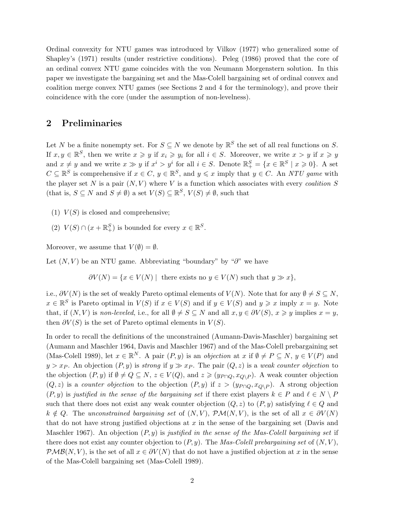Ordinal convexity for NTU games was introduced by Vilkov (1977) who generalized some of Shapley's (1971) results (under restrictive conditions). Peleg (1986) proved that the core of an ordinal convex NTU game coincides with the von Neumann Morgenstern solution. In this paper we investigate the bargaining set and the Mas-Colell bargaining set of ordinal convex and coalition merge convex NTU games (see Sections 2 and 4 for the terminology), and prove their coincidence with the core (under the assumption of non-levelness).

#### 2 Preliminaries

Let N be a finite nonempty set. For  $S \subseteq N$  we denote by  $\mathbb{R}^S$  the set of all real functions on S. If  $x, y \in \mathbb{R}^S$ , then we write  $x \geq y$  if  $x_i \geq y_i$  for all  $i \in S$ . Moreover, we write  $x > y$  if  $x \geq y$ and  $x \neq y$  and we write  $x \gg y$  if  $x^i > y^i$  for all  $i \in S$ . Denote  $\mathbb{R}^S_+ = \{x \in \mathbb{R}^S \mid x \geq 0\}$ . A set  $C \subseteq \mathbb{R}^S$  is comprehensive if  $x \in C$ ,  $y \in \mathbb{R}^S$ , and  $y \leq x$  imply that  $y \in C$ . An NTU game with the player set N is a pair  $(N, V)$  where V is a function which associates with every *coalition* S (that is,  $S \subseteq N$  and  $S \neq \emptyset$ ) a set  $V(S) \subseteq \mathbb{R}^S$ ,  $V(S) \neq \emptyset$ , such that

- (1)  $V(S)$  is closed and comprehensive;
- (2)  $V(S) \cap (x + \mathbb{R}^S_+)$  is bounded for every  $x \in \mathbb{R}^S$ .

Moreover, we assume that  $V(\emptyset) = \emptyset$ .

Let  $(N, V)$  be an NTU game. Abbreviating "boundary" by "∂" we have

 $\partial V(N) = \{x \in V(N) \mid \text{ there exists no } y \in V(N) \text{ such that } y \gg x\},\$ 

i.e.,  $\partial V(N)$  is the set of weakly Pareto optimal elements of  $V(N)$ . Note that for any  $\emptyset \neq S \subseteq N$ ,  $x \in \mathbb{R}^S$  is Pareto optimal in  $V(S)$  if  $x \in V(S)$  and if  $y \in V(S)$  and  $y \geq x$  imply  $x = y$ . Note that, if  $(N, V)$  is non-leveled, i.e., for all  $\emptyset \neq S \subseteq N$  and all  $x, y \in \partial V(S)$ ,  $x \geq y$  implies  $x = y$ , then  $\partial V(S)$  is the set of Pareto optimal elements in  $V(S)$ .

In order to recall the definitions of the unconstrained (Aumann-Davis-Maschler) bargaining set (Aumann and Maschler 1964, Davis and Maschler 1967) and of the Mas-Colell prebargaining set (Mas-Colell 1989), let  $x \in \mathbb{R}^N$ . A pair  $(P, y)$  is an *objection* at x if  $\emptyset \neq P \subseteq N$ ,  $y \in V(P)$  and  $y > x_P$ . An objection  $(P, y)$  is strong if  $y \gg x_P$ . The pair  $(Q, z)$  is a weak counter objection to the objection  $(P, y)$  if  $\emptyset \neq Q \subseteq N$ ,  $z \in V(Q)$ , and  $z \geq (y_{P \cap Q}, x_{Q \setminus P})$ . A weak counter objection  $(Q, z)$  is a counter objection to the objection  $(P, y)$  if  $z > (y_{P \cap Q}, x_{Q \setminus P})$ . A strong objection  $(P, y)$  is justified in the sense of the bargaining set if there exist players  $k \in P$  and  $\ell \in N \setminus P$ such that there does not exist any weak counter objection  $(Q, z)$  to  $(P, y)$  satisfying  $\ell \in Q$  and  $k \notin Q$ . The unconstrained bargaining set of  $(N, V)$ ,  $\mathcal{PM}(N, V)$ , is the set of all  $x \in \partial V(N)$ that do not have strong justified objections at  $x$  in the sense of the bargaining set (Davis and Maschler 1967). An objection  $(P, y)$  is justified in the sense of the Mas-Colell bargaining set if there does not exist any counter objection to  $(P, y)$ . The Mas-Colell prebargaining set of  $(N, V)$ ,  $\mathcal{PMB}(N, V)$ , is the set of all  $x \in \partial V(N)$  that do not have a justified objection at x in the sense of the Mas-Colell bargaining set (Mas-Colell 1989).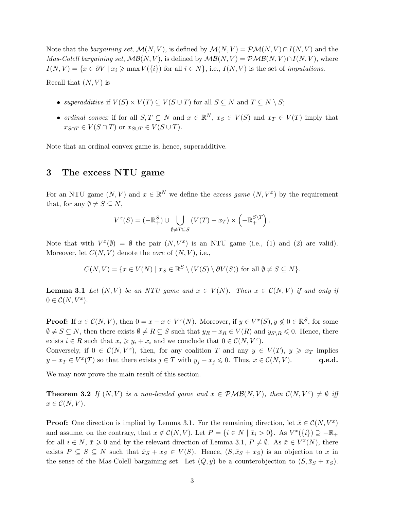Note that the bargaining set,  $\mathcal{M}(N, V)$ , is defined by  $\mathcal{M}(N, V) = \mathcal{PM}(N, V) \cap I(N, V)$  and the *Mas-Colell bargaining set,*  $\mathcal{MB}(N, V)$ , is defined by  $\mathcal{MB}(N, V) = \mathcal{PMB}(N, V) \cap I(N, V)$ , where  $I(N, V) = \{x \in \partial V \mid x_i \ge \max V(\{i\}) \text{ for all } i \in N\}, \text{ i.e., } I(N, V) \text{ is the set of *imputations*.$ 

Recall that  $(N, V)$  is

- superadditive if  $V(S) \times V(T) \subseteq V(S \cup T)$  for all  $S \subseteq N$  and  $T \subseteq N \setminus S$ ;
- ordinal convex if for all  $S, T \subseteq N$  and  $x \in \mathbb{R}^N$ ,  $x_S \in V(S)$  and  $x_T \in V(T)$  imply that  $x_{S\cap T} \in V(S\cap T)$  or  $x_{S\cup T} \in V(S\cup T)$ .

Note that an ordinal convex game is, hence, superadditive.

#### 3 The excess NTU game

For an NTU game  $(N, V)$  and  $x \in \mathbb{R}^N$  we define the *excess game*  $(N, V^x)$  by the requirement that, for any  $\emptyset \neq S \subseteq N$ ,

$$
V^{x}(S) = (-\mathbb{R}_{+}^{S}) \cup \bigcup_{\emptyset \neq T \subseteq S} (V(T) - x_{T}) \times \left(-\mathbb{R}_{+}^{S \setminus T}\right).
$$

Note that with  $V^x(\emptyset) = \emptyset$  the pair  $(N, V^x)$  is an NTU game (i.e., (1) and (2) are valid). Moreover, let  $C(N, V)$  denote the *core* of  $(N, V)$ , i.e.,

$$
C(N,V) = \{ x \in V(N) \mid x_S \in \mathbb{R}^S \setminus (V(S) \setminus \partial V(S)) \text{ for all } \emptyset \neq S \subseteq N \}.
$$

**Lemma 3.1** Let  $(N, V)$  be an NTU game and  $x \in V(N)$ . Then  $x \in C(N, V)$  if and only if  $0 \in \mathcal{C}(N, V^x).$ 

**Proof:** If  $x \in \mathcal{C}(N, V)$ , then  $0 = x - x \in V^x(N)$ . Moreover, if  $y \in V^x(S)$ ,  $y \nleq 0 \in \mathbb{R}^S$ , for some  $\emptyset \neq S \subseteq N$ , then there exists  $\emptyset \neq R \subseteq S$  such that  $y_R + x_R \in V(R)$  and  $y_{S \setminus R} \leq 0$ . Hence, there exists  $i \in R$  such that  $x_i \geq y_i + x_i$  and we conclude that  $0 \in C(N, V^x)$ .

Conversely, if  $0 \in \mathcal{C}(N, V^x)$ , then, for any coalition T and any  $y \in V(T)$ ,  $y \geq x_T$  implies  $y - x_T \in V^x(T)$  so that there exists  $j \in T$  with  $y_j - x_j \leqslant 0$ . Thus,  $x \in C(N, V)$ . q.e.d.

We may now prove the main result of this section.

**Theorem 3.2** If  $(N, V)$  is a non-leveled game and  $x \in \mathcal{PMB}(N, V)$ , then  $\mathcal{C}(N, V^x) \neq \emptyset$  iff  $x \in \mathcal{C}(N, V)$ .

**Proof:** One direction is implied by Lemma 3.1. For the remaining direction, let  $\bar{x} \in C(N, V^x)$ and assume, on the contrary, that  $x \notin C(N, V)$ . Let  $P = \{i \in N \mid \bar{x}_i > 0\}$ . As  $V^x(\{i\}) \supseteq -\mathbb{R}_+$ for all  $i \in N$ ,  $\bar{x} \geq 0$  and by the relevant direction of Lemma 3.1,  $P \neq \emptyset$ . As  $\bar{x} \in V^x(N)$ , there exists  $P \subseteq S \subseteq N$  such that  $\bar{x}_S + x_S \in V(S)$ . Hence,  $(S, \bar{x}_S + x_S)$  is an objection to x in the sense of the Mas-Colell bargaining set. Let  $(Q, y)$  be a counterobjection to  $(S, \bar{x}_S + x_S)$ .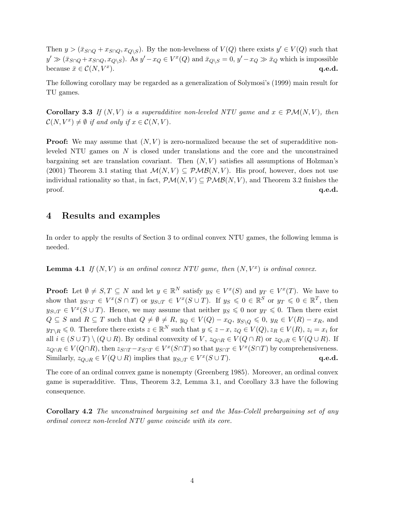Then  $y > (\bar{x}_{S \cap Q} + x_{S \cap Q}, x_{Q \setminus S})$ . By the non-levelness of  $V(Q)$  there exists  $y' \in V(Q)$  such that  $y' \gg (\bar{x}_{S \cap Q} + x_{S \cap Q}, x_{Q \setminus S})$ . As  $y' - x_Q \in V^x(Q)$  and  $\bar{x}_{Q \setminus S} = 0$ ,  $y' - x_Q \gg \bar{x}_Q$  which is impossible because  $\bar{x} \in \mathcal{C}(N, V^x)$ . ).  $q.e.d.$ 

The following corollary may be regarded as a generalization of Solymosi's (1999) main result for TU games.

**Corollary 3.3** If  $(N, V)$  is a superadditive non-leveled NTU game and  $x \in \mathcal{PM}(N, V)$ , then  $\mathcal{C}(N, V^x) \neq \emptyset$  if and only if  $x \in \mathcal{C}(N, V)$ .

**Proof:** We may assume that  $(N, V)$  is zero-normalized because the set of superadditive nonleveled NTU games on N is closed under translations and the core and the unconstrained bargaining set are translation covariant. Then  $(N, V)$  satisfies all assumptions of Holzman's (2001) Theorem 3.1 stating that  $\mathcal{M}(N, V) \subseteq \mathcal{PMB}(N, V)$ . His proof, however, does not use individual rationality so that, in fact,  $\mathcal{PM}(N, V) \subseteq \mathcal{PMB}(N, V)$ , and Theorem 3.2 finishes the  $\qquad \qquad \textbf{q.e.d.}$ 

#### 4 Results and examples

In order to apply the results of Section 3 to ordinal convex NTU games, the following lemma is needed.

**Lemma 4.1** If  $(N, V)$  is an ordinal convex NTU game, then  $(N, V^x)$  is ordinal convex.

**Proof:** Let  $\emptyset \neq S, T \subseteq N$  and let  $y \in \mathbb{R}^N$  satisfy  $y_S \in V^x(S)$  and  $y_T \in V^x(T)$ . We have to show that  $y_{S \cap T} \in V^x(S \cap T)$  or  $y_{S \cup T} \in V^x(S \cup T)$ . If  $y_S \leq 0 \in \mathbb{R}^S$  or  $y_T \leq 0 \in \mathbb{R}^T$ , then  $y_{S\cup T} \in V^x(S \cup T)$ . Hence, we may assume that neither  $y_S \leq 0$  nor  $y_T \leq 0$ . Then there exist  $Q \subseteq S$  and  $R \subseteq T$  such that  $Q \neq \emptyset \neq R$ ,  $y_Q \in V(Q) - x_Q$ ,  $y_{S \setminus Q} \leqslant 0$ ,  $y_R \in V(R) - x_R$ , and  $y_{T\setminus R} \leqslant 0$ . Therefore there exists  $z \in \mathbb{R}^N$  such that  $y \leqslant z - x$ ,  $z_Q \in V(Q)$ ,  $z_R \in V(R)$ ,  $z_i = x_i$  for all  $i \in (S \cup T) \setminus (Q \cup R)$ . By ordinal convexity of V,  $z_{Q \cap R} \in V(Q \cap R)$  or  $z_{Q \cup R} \in V(Q \cup R)$ . If  $z_{Q\cap R} \in V(Q\cap R)$ , then  $z_{S\cap T} - x_{S\cap T} \in V^x(S\cap T)$  so that  $y_{S\cap T} \in V^x(S\cap T)$  by comprehensiveness. Similarly,  $z_{Q\cup R} \in V(Q \cup R)$  implies that  $y_{S\cup T} \in V^x(S \cup T)$ . **q.e.d.** 

The core of an ordinal convex game is nonempty (Greenberg 1985). Moreover, an ordinal convex game is superadditive. Thus, Theorem 3.2, Lemma 3.1, and Corollary 3.3 have the following consequence.

Corollary 4.2 The unconstrained bargaining set and the Mas-Colell prebargaining set of any ordinal convex non-leveled NTU game coincide with its core.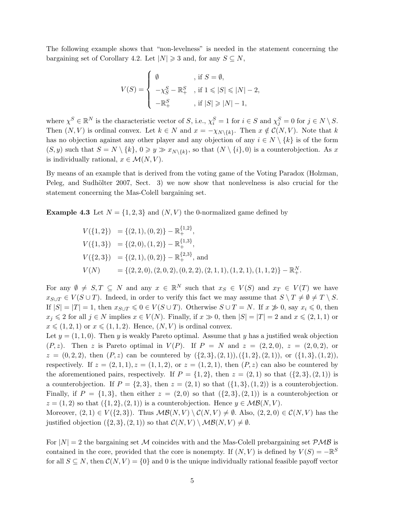The following example shows that "non-levelness" is needed in the statement concerning the bargaining set of Corollary 4.2. Let  $|N| \geq 3$  and, for any  $S \subseteq N$ ,

$$
V(S) = \begin{cases} \emptyset & \text{, if } S = \emptyset, \\ -\chi_S^S - \mathbb{R}^S_+ & \text{, if } 1 \leqslant |S| \leqslant |N| - 2, \\ -\mathbb{R}^S_+ & \text{, if } |S| \geqslant |N| - 1, \end{cases}
$$

where  $\chi^S \in \mathbb{R}^N$  is the characteristic vector of S, i.e.,  $\chi_i^S = 1$  for  $i \in S$  and  $\chi_j^S = 0$  for  $j \in N \setminus S$ . Then  $(N, V)$  is ordinal convex. Let  $k \in N$  and  $x = -\chi_{N\setminus\{k\}}$ . Then  $x \notin C(N, V)$ . Note that k has no objection against any other player and any objection of any  $i \in N \setminus \{k\}$  is of the form  $(S, y)$  such that  $S = N \setminus \{k\}, 0 \geq y \gg x_{N \setminus \{k\}},$  so that  $(N \setminus \{i\}, 0)$  is a counterobjection. As x is individually rational,  $x \in \mathcal{M}(N, V)$ .

By means of an example that is derived from the voting game of the Voting Paradox (Holzman, Peleg, and Sudhölter 2007, Sect. 3) we now show that nonlevelness is also crucial for the statement concerning the Mas-Colell bargaining set.

**Example 4.3** Let  $N = \{1, 2, 3\}$  and  $(N, V)$  the 0-normalized game defined by

$$
V({1, 2}) = {(2, 1), (0, 2)} - \mathbb{R}^{1,2},
$$
  
\n
$$
V({1, 3}) = {(2, 0), (1, 2)} - \mathbb{R}^{1,3},
$$
  
\n
$$
V({2, 3}) = {(2, 1), (0, 2)} - \mathbb{R}^{2,3},
$$
 and  
\n
$$
V(N) = {(2, 2, 0), (2, 0, 2), (0, 2, 2), (2, 1, 1), (1, 2, 1), (1, 1, 2)} - \mathbb{R}^{N}_{+}.
$$

For any  $\emptyset \neq S, T \subseteq N$  and any  $x \in \mathbb{R}^N$  such that  $x_S \in V(S)$  and  $x_T \in V(T)$  we have  $x_{S\cup T} \in V(S\cup T)$ . Indeed, in order to verify this fact we may assume that  $S \setminus T \neq \emptyset \neq T \setminus S$ . If  $|S| = |T| = 1$ , then  $x_{S \cup T} \leq 0 \in V(S \cup T)$ . Otherwise  $S \cup T = N$ . If  $x \not\gg 0$ , say  $x_i \leq 0$ , then  $x_j \leq 2$  for all  $j \in N$  implies  $x \in V(N)$ . Finally, if  $x \gg 0$ , then  $|S| = |T| = 2$  and  $x \leq (2, 1, 1)$  or  $x \leqslant (1, 2, 1)$  or  $x \leqslant (1, 1, 2)$ . Hence,  $(N, V)$  is ordinal convex.

Let  $y = (1, 1, 0)$ . Then y is weakly Pareto optimal. Assume that y has a justified weak objection  $(P, z)$ . Then z is Pareto optimal in  $V(P)$ . If  $P = N$  and  $z = (2, 2, 0), z = (2, 0, 2),$  or  $z = (0, 2, 2)$ , then  $(P, z)$  can be countered by  $({2, 3}, {2, 1}), ({1, 2}, {2, 1}),$  or  $({1, 3}, {1, 2}),$ respectively. If  $z = (2, 1, 1), z = (1, 1, 2),$  or  $z = (1, 2, 1),$  then  $(P, z)$  can also be countered by the aforementioned pairs, respectively. If  $P = \{1, 2\}$ , then  $z = (2, 1)$  so that  $(\{2, 3\}, (2, 1))$  is a counterobjection. If  $P = \{2,3\}$ , then  $z = (2,1)$  so that  $(\{1,3\},(1,2))$  is a counterobjection. Finally, if  $P = \{1,3\}$ , then either  $z = (2,0)$  so that  $(\{2,3\}, (2,1))$  is a counterobjection or  $z = (1, 2)$  so that  $({1, 2}, (2, 1))$  is a counterobjection. Hence  $y \in \mathcal{MB}(N, V)$ . Moreover,  $(2, 1) \in V({2, 3})$ . Thus  $MB(N, V) \setminus C(N, V) \neq \emptyset$ . Also,  $(2, 2, 0) \in C(N, V)$  has the

justified objection  $({2, 3}, (2, 1))$  so that  $\mathcal{C}(N, V) \setminus \mathcal{MB}(N, V) \neq \emptyset$ .

For  $|N| = 2$  the bargaining set M coincides with and the Mas-Colell prebargaining set  $PMB$  is contained in the core, provided that the core is nonempty. If  $(N, V)$  is defined by  $V(S) = -\mathbb{R}^S$ for all  $S \subseteq N$ , then  $\mathcal{C}(N, V) = \{0\}$  and 0 is the unique individually rational feasible payoff vector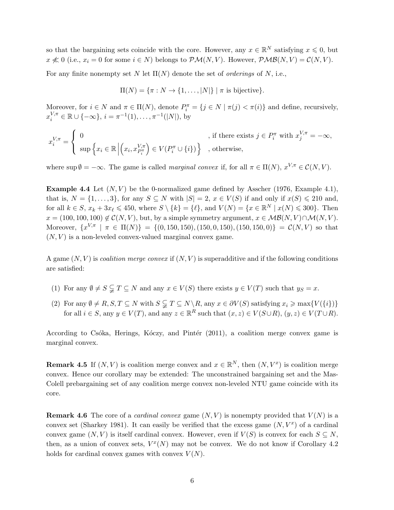so that the bargaining sets coincide with the core. However, any  $x \in \mathbb{R}^N$  satisfying  $x \leq 0$ , but  $x \not\ll 0$  (i.e.,  $x_i = 0$  for some  $i \in N$ ) belongs to  $\mathcal{PM}(N, V)$ . However,  $\mathcal{PMB}(N, V) = \mathcal{C}(N, V)$ .

For any finite nonempty set N let  $\Pi(N)$  denote the set of *orderings* of N, i.e.,

$$
\Pi(N) = \{ \pi : N \to \{1, \ldots, |N|\} \mid \pi \text{ is bijective}\}.
$$

Moreover, for  $i \in N$  and  $\pi \in \Pi(N)$ , denote  $P_i^{\pi} = \{j \in N \mid \pi(j) < \pi(i)\}\$  and define, recursively,  $x_i^{V,\pi} \in \mathbb{R} \cup \{-\infty\}, i = \pi^{-1}(1), \ldots, \pi^{-1}(|N|),$  by

$$
x_i^{V,\pi} = \left\{ \begin{array}{ll} 0 & \text{, if there exists } j \in P_i^\pi \text{ with } x_j^{V,\pi} = -\infty, \\[2mm] \sup \Big\{ x_i \in \mathbb{R} \, \Big| \Big( x_i, x_{P_i^\pi}^{V,\pi} \Big) \in V\big( P_i^\pi \cup \{i\} \big) \Big\} & \text{, otherwise,} \end{array} \right.
$$

where  $\sup \emptyset = -\infty$ . The game is called *marginal convex* if, for all  $\pi \in \Pi(N)$ ,  $x^{V,\pi} \in \mathcal{C}(N, V)$ .

**Example 4.4** Let  $(N, V)$  be the 0-normalized game defined by Asscher (1976, Example 4.1), that is,  $N = \{1, \ldots, 3\}$ , for any  $S \subseteq N$  with  $|S| = 2$ ,  $x \in V(S)$  if and only if  $x(S) \leq 210$  and, for all  $k \in S$ ,  $x_k + 3x_\ell \leq 450$ , where  $S \setminus \{k\} = {\ell}$ , and  $V(N) = \{x \in \mathbb{R}^N \mid x(N) \leq 300\}$ . Then  $x = (100, 100, 100) \notin \mathcal{C}(N, V)$ , but, by a simple symmetry argument,  $x \in \mathcal{MB}(N, V) \cap \mathcal{M}(N, V)$ . Moreover,  $\{x^{V,\pi} \mid \pi \in \Pi(N)\} = \{(0, 150, 150), (150, 0, 150), (150, 150, 0)\} = \mathcal{C}(N, V)$  so that  $(N, V)$  is a non-leveled convex-valued marginal convex game.

A game  $(N, V)$  is *coalition merge convex* if  $(N, V)$  is superadditive and if the following conditions are satisfied:

- (1) For any  $\emptyset \neq S \subsetneq T \subseteq N$  and any  $x \in V(S)$  there exists  $y \in V(T)$  such that  $y_S = x$ .
- (2) For any  $\emptyset \neq R$ ,  $S, T \subseteq N$  with  $S \subsetneqq T \subseteq N \backslash R$ , any  $x \in \partial V(S)$  satisfying  $x_i \ge \max\{V(\{i\})\}$ for all  $i \in S$ , any  $y \in V(T)$ , and any  $z \in \mathbb{R}^R$  such that  $(x, z) \in V(S \cup R)$ ,  $(y, z) \in V(T \cup R)$ .

According to Csóka, Herings, Kóczy, and Pintér (2011), a coalition merge convex game is marginal convex.

**Remark 4.5** If  $(N, V)$  is coalition merge convex and  $x \in \mathbb{R}^N$ , then  $(N, V^x)$  is coalition merge convex. Hence our corollary may be extended: The unconstrained bargaining set and the Mas-Colell prebargaining set of any coalition merge convex non-leveled NTU game coincide with its core.

**Remark 4.6** The core of a *cardinal convex* game  $(N, V)$  is nonempty provided that  $V(N)$  is a convex set (Sharkey 1981). It can easily be verified that the excess game  $(N, V^x)$  of a cardinal convex game  $(N, V)$  is itself cardinal convex. However, even if  $V(S)$  is convex for each  $S \subseteq N$ , then, as a union of convex sets,  $V^x(N)$  may not be convex. We do not know if Corollary 4.2 holds for cardinal convex games with convex  $V(N)$ .